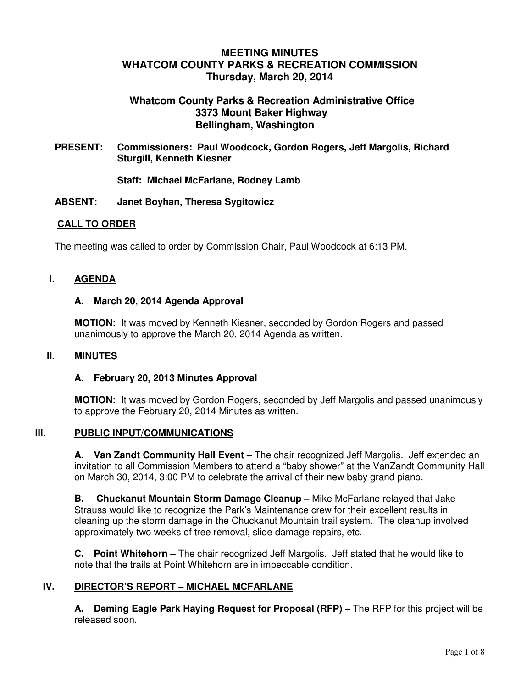# **MEETING MINUTES WHATCOM COUNTY PARKS & RECREATION COMMISSION Thursday, March 20, 2014**

# **Whatcom County Parks & Recreation Administrative Office 3373 Mount Baker Highway Bellingham, Washington**

**PRESENT: Commissioners: Paul Woodcock, Gordon Rogers, Jeff Margolis, Richard Sturgill, Kenneth Kiesner** 

**Staff: Michael McFarlane, Rodney Lamb** 

#### **ABSENT: Janet Boyhan, Theresa Sygitowicz**

#### **CALL TO ORDER**

The meeting was called to order by Commission Chair, Paul Woodcock at 6:13 PM.

#### **I. AGENDA**

#### **A. March 20, 2014 Agenda Approval**

**MOTION:** It was moved by Kenneth Kiesner, seconded by Gordon Rogers and passed unanimously to approve the March 20, 2014 Agenda as written.

#### **II. MINUTES**

#### **A. February 20, 2013 Minutes Approval**

**MOTION:** It was moved by Gordon Rogers, seconded by Jeff Margolis and passed unanimously to approve the February 20, 2014 Minutes as written.

## **III. PUBLIC INPUT/COMMUNICATIONS**

**A. Van Zandt Community Hall Event –** The chair recognized Jeff Margolis. Jeff extended an invitation to all Commission Members to attend a "baby shower" at the VanZandt Community Hall on March 30, 2014, 3:00 PM to celebrate the arrival of their new baby grand piano.

**B. Chuckanut Mountain Storm Damage Cleanup –** Mike McFarlane relayed that Jake Strauss would like to recognize the Park's Maintenance crew for their excellent results in cleaning up the storm damage in the Chuckanut Mountain trail system. The cleanup involved approximately two weeks of tree removal, slide damage repairs, etc.

**C. Point Whitehorn –** The chair recognized Jeff Margolis. Jeff stated that he would like to note that the trails at Point Whitehorn are in impeccable condition.

## **IV. DIRECTOR'S REPORT – MICHAEL MCFARLANE**

**A. Deming Eagle Park Haying Request for Proposal (RFP) –** The RFP for this project will be released soon.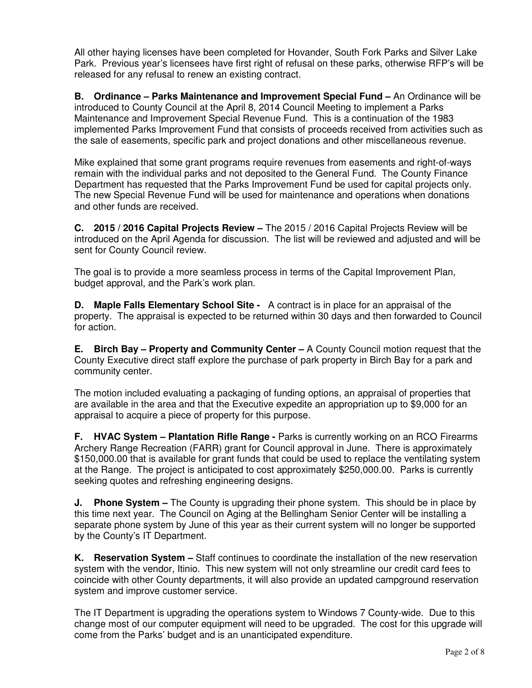All other haying licenses have been completed for Hovander, South Fork Parks and Silver Lake Park. Previous year's licensees have first right of refusal on these parks, otherwise RFP's will be released for any refusal to renew an existing contract.

**B. Ordinance – Parks Maintenance and Improvement Special Fund –** An Ordinance will be introduced to County Council at the April 8, 2014 Council Meeting to implement a Parks Maintenance and Improvement Special Revenue Fund. This is a continuation of the 1983 implemented Parks Improvement Fund that consists of proceeds received from activities such as the sale of easements, specific park and project donations and other miscellaneous revenue.

Mike explained that some grant programs require revenues from easements and right-of-ways remain with the individual parks and not deposited to the General Fund. The County Finance Department has requested that the Parks Improvement Fund be used for capital projects only. The new Special Revenue Fund will be used for maintenance and operations when donations and other funds are received.

**C. 2015 / 2016 Capital Projects Review –** The 2015 / 2016 Capital Projects Review will be introduced on the April Agenda for discussion. The list will be reviewed and adjusted and will be sent for County Council review.

The goal is to provide a more seamless process in terms of the Capital Improvement Plan, budget approval, and the Park's work plan.

**D. Maple Falls Elementary School Site -** A contract is in place for an appraisal of the property. The appraisal is expected to be returned within 30 days and then forwarded to Council for action.

**E. Birch Bay – Property and Community Center –** A County Council motion request that the County Executive direct staff explore the purchase of park property in Birch Bay for a park and community center.

The motion included evaluating a packaging of funding options, an appraisal of properties that are available in the area and that the Executive expedite an appropriation up to \$9,000 for an appraisal to acquire a piece of property for this purpose.

**F. HVAC System – Plantation Rifle Range -** Parks is currently working on an RCO Firearms Archery Range Recreation (FARR) grant for Council approval in June. There is approximately \$150,000.00 that is available for grant funds that could be used to replace the ventilating system at the Range. The project is anticipated to cost approximately \$250,000.00. Parks is currently seeking quotes and refreshing engineering designs.

**J. Phone System –** The County is upgrading their phone system. This should be in place by this time next year. The Council on Aging at the Bellingham Senior Center will be installing a separate phone system by June of this year as their current system will no longer be supported by the County's IT Department.

**K. Reservation System –** Staff continues to coordinate the installation of the new reservation system with the vendor, Itinio. This new system will not only streamline our credit card fees to coincide with other County departments, it will also provide an updated campground reservation system and improve customer service.

The IT Department is upgrading the operations system to Windows 7 County-wide. Due to this change most of our computer equipment will need to be upgraded. The cost for this upgrade will come from the Parks' budget and is an unanticipated expenditure.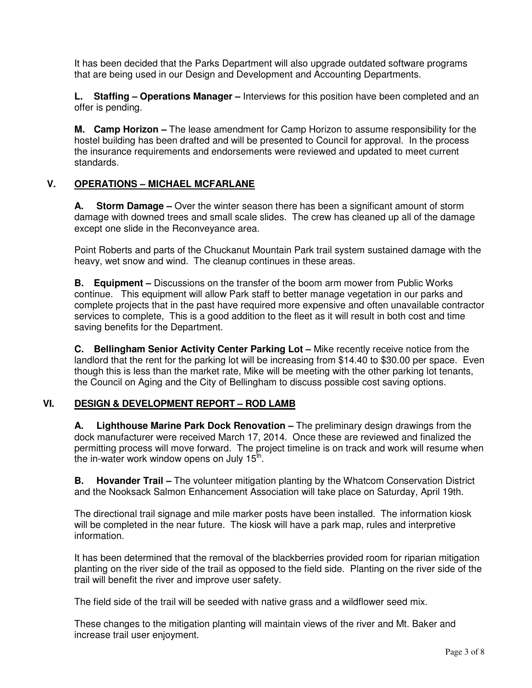It has been decided that the Parks Department will also upgrade outdated software programs that are being used in our Design and Development and Accounting Departments.

**L. Staffing – Operations Manager –** Interviews for this position have been completed and an offer is pending.

**M. Camp Horizon –** The lease amendment for Camp Horizon to assume responsibility for the hostel building has been drafted and will be presented to Council for approval. In the process the insurance requirements and endorsements were reviewed and updated to meet current standards.

# **V. OPERATIONS – MICHAEL MCFARLANE**

**A. Storm Damage –** Over the winter season there has been a significant amount of storm damage with downed trees and small scale slides. The crew has cleaned up all of the damage except one slide in the Reconveyance area.

Point Roberts and parts of the Chuckanut Mountain Park trail system sustained damage with the heavy, wet snow and wind. The cleanup continues in these areas.

**B. Equipment –** Discussions on the transfer of the boom arm mower from Public Works continue. This equipment will allow Park staff to better manage vegetation in our parks and complete projects that in the past have required more expensive and often unavailable contractor services to complete, This is a good addition to the fleet as it will result in both cost and time saving benefits for the Department.

**C. Bellingham Senior Activity Center Parking Lot –** Mike recently receive notice from the landlord that the rent for the parking lot will be increasing from \$14.40 to \$30.00 per space. Even though this is less than the market rate, Mike will be meeting with the other parking lot tenants, the Council on Aging and the City of Bellingham to discuss possible cost saving options.

# **VI. DESIGN & DEVELOPMENT REPORT – ROD LAMB**

**A. Lighthouse Marine Park Dock Renovation –** The preliminary design drawings from the dock manufacturer were received March 17, 2014. Once these are reviewed and finalized the permitting process will move forward. The project timeline is on track and work will resume when the in-water work window opens on July 15<sup>th</sup>.

**B.** Hovander Trail – The volunteer mitigation planting by the Whatcom Conservation District and the Nooksack Salmon Enhancement Association will take place on Saturday, April 19th.

The directional trail signage and mile marker posts have been installed. The information kiosk will be completed in the near future. The kiosk will have a park map, rules and interpretive information.

It has been determined that the removal of the blackberries provided room for riparian mitigation planting on the river side of the trail as opposed to the field side. Planting on the river side of the trail will benefit the river and improve user safety.

The field side of the trail will be seeded with native grass and a wildflower seed mix.

These changes to the mitigation planting will maintain views of the river and Mt. Baker and increase trail user enjoyment.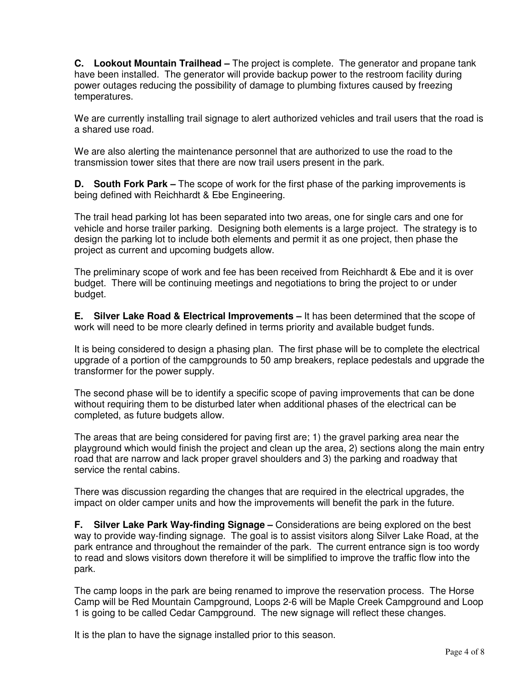**C. Lookout Mountain Trailhead –** The project is complete. The generator and propane tank have been installed. The generator will provide backup power to the restroom facility during power outages reducing the possibility of damage to plumbing fixtures caused by freezing temperatures.

We are currently installing trail signage to alert authorized vehicles and trail users that the road is a shared use road.

We are also alerting the maintenance personnel that are authorized to use the road to the transmission tower sites that there are now trail users present in the park.

**D. South Fork Park –** The scope of work for the first phase of the parking improvements is being defined with Reichhardt & Ebe Engineering.

The trail head parking lot has been separated into two areas, one for single cars and one for vehicle and horse trailer parking. Designing both elements is a large project. The strategy is to design the parking lot to include both elements and permit it as one project, then phase the project as current and upcoming budgets allow.

The preliminary scope of work and fee has been received from Reichhardt & Ebe and it is over budget. There will be continuing meetings and negotiations to bring the project to or under budget.

**E. Silver Lake Road & Electrical Improvements –** It has been determined that the scope of work will need to be more clearly defined in terms priority and available budget funds.

It is being considered to design a phasing plan. The first phase will be to complete the electrical upgrade of a portion of the campgrounds to 50 amp breakers, replace pedestals and upgrade the transformer for the power supply.

The second phase will be to identify a specific scope of paving improvements that can be done without requiring them to be disturbed later when additional phases of the electrical can be completed, as future budgets allow.

The areas that are being considered for paving first are; 1) the gravel parking area near the playground which would finish the project and clean up the area, 2) sections along the main entry road that are narrow and lack proper gravel shoulders and 3) the parking and roadway that service the rental cabins.

There was discussion regarding the changes that are required in the electrical upgrades, the impact on older camper units and how the improvements will benefit the park in the future.

**F. Silver Lake Park Way-finding Signage –** Considerations are being explored on the best way to provide way-finding signage. The goal is to assist visitors along Silver Lake Road, at the park entrance and throughout the remainder of the park. The current entrance sign is too wordy to read and slows visitors down therefore it will be simplified to improve the traffic flow into the park.

The camp loops in the park are being renamed to improve the reservation process. The Horse Camp will be Red Mountain Campground, Loops 2-6 will be Maple Creek Campground and Loop 1 is going to be called Cedar Campground. The new signage will reflect these changes.

It is the plan to have the signage installed prior to this season.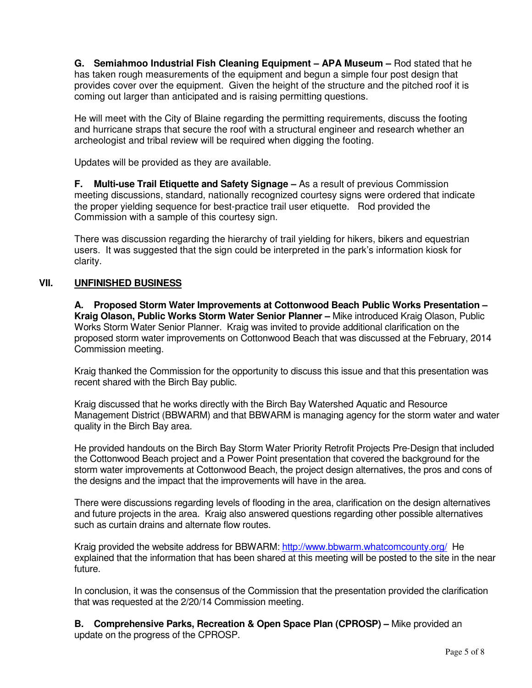**G. Semiahmoo Industrial Fish Cleaning Equipment – APA Museum –** Rod stated that he has taken rough measurements of the equipment and begun a simple four post design that provides cover over the equipment. Given the height of the structure and the pitched roof it is coming out larger than anticipated and is raising permitting questions.

He will meet with the City of Blaine regarding the permitting requirements, discuss the footing and hurricane straps that secure the roof with a structural engineer and research whether an archeologist and tribal review will be required when digging the footing.

Updates will be provided as they are available.

**F. Multi-use Trail Etiquette and Safety Signage –** As a result of previous Commission meeting discussions, standard, nationally recognized courtesy signs were ordered that indicate the proper yielding sequence for best-practice trail user etiquette. Rod provided the Commission with a sample of this courtesy sign.

There was discussion regarding the hierarchy of trail yielding for hikers, bikers and equestrian users. It was suggested that the sign could be interpreted in the park's information kiosk for clarity.

## **VII. UNFINISHED BUSINESS**

**A. Proposed Storm Water Improvements at Cottonwood Beach Public Works Presentation – Kraig Olason, Public Works Storm Water Senior Planner –** Mike introduced Kraig Olason, Public Works Storm Water Senior Planner. Kraig was invited to provide additional clarification on the proposed storm water improvements on Cottonwood Beach that was discussed at the February, 2014 Commission meeting.

Kraig thanked the Commission for the opportunity to discuss this issue and that this presentation was recent shared with the Birch Bay public.

Kraig discussed that he works directly with the Birch Bay Watershed Aquatic and Resource Management District (BBWARM) and that BBWARM is managing agency for the storm water and water quality in the Birch Bay area.

He provided handouts on the Birch Bay Storm Water Priority Retrofit Projects Pre-Design that included the Cottonwood Beach project and a Power Point presentation that covered the background for the storm water improvements at Cottonwood Beach, the project design alternatives, the pros and cons of the designs and the impact that the improvements will have in the area.

There were discussions regarding levels of flooding in the area, clarification on the design alternatives and future projects in the area. Kraig also answered questions regarding other possible alternatives such as curtain drains and alternate flow routes.

Kraig provided the website address for BBWARM: http://www.bbwarm.whatcomcounty.org/ He explained that the information that has been shared at this meeting will be posted to the site in the near future.

In conclusion, it was the consensus of the Commission that the presentation provided the clarification that was requested at the 2/20/14 Commission meeting.

**B. Comprehensive Parks, Recreation & Open Space Plan (CPROSP) –** Mike provided an update on the progress of the CPROSP.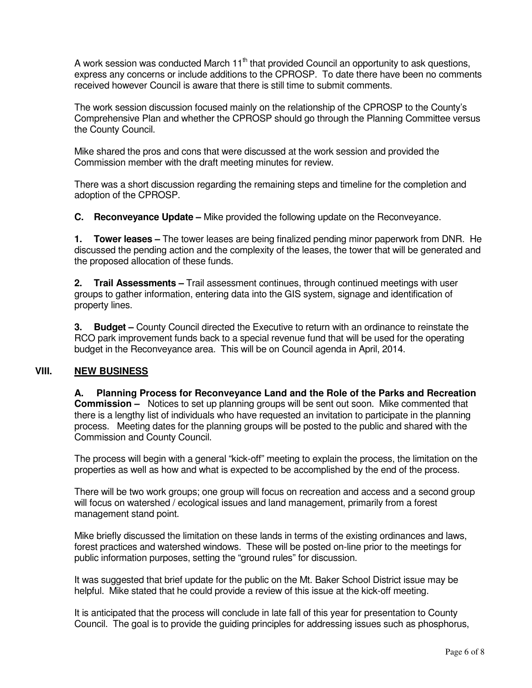A work session was conducted March  $11<sup>th</sup>$  that provided Council an opportunity to ask questions, express any concerns or include additions to the CPROSP. To date there have been no comments received however Council is aware that there is still time to submit comments.

The work session discussion focused mainly on the relationship of the CPROSP to the County's Comprehensive Plan and whether the CPROSP should go through the Planning Committee versus the County Council.

Mike shared the pros and cons that were discussed at the work session and provided the Commission member with the draft meeting minutes for review.

There was a short discussion regarding the remaining steps and timeline for the completion and adoption of the CPROSP.

**C. Reconveyance Update –** Mike provided the following update on the Reconveyance.

**1. Tower leases –** The tower leases are being finalized pending minor paperwork from DNR. He discussed the pending action and the complexity of the leases, the tower that will be generated and the proposed allocation of these funds.

**2. Trail Assessments –** Trail assessment continues, through continued meetings with user groups to gather information, entering data into the GIS system, signage and identification of property lines.

**3. Budget –** County Council directed the Executive to return with an ordinance to reinstate the RCO park improvement funds back to a special revenue fund that will be used for the operating budget in the Reconveyance area. This will be on Council agenda in April, 2014.

## **VIII. NEW BUSINESS**

**A. Planning Process for Reconveyance Land and the Role of the Parks and Recreation Commission –** Notices to set up planning groups will be sent out soon. Mike commented that there is a lengthy list of individuals who have requested an invitation to participate in the planning process. Meeting dates for the planning groups will be posted to the public and shared with the Commission and County Council.

The process will begin with a general "kick-off" meeting to explain the process, the limitation on the properties as well as how and what is expected to be accomplished by the end of the process.

There will be two work groups; one group will focus on recreation and access and a second group will focus on watershed / ecological issues and land management, primarily from a forest management stand point.

Mike briefly discussed the limitation on these lands in terms of the existing ordinances and laws, forest practices and watershed windows. These will be posted on-line prior to the meetings for public information purposes, setting the "ground rules" for discussion.

It was suggested that brief update for the public on the Mt. Baker School District issue may be helpful. Mike stated that he could provide a review of this issue at the kick-off meeting.

It is anticipated that the process will conclude in late fall of this year for presentation to County Council. The goal is to provide the guiding principles for addressing issues such as phosphorus,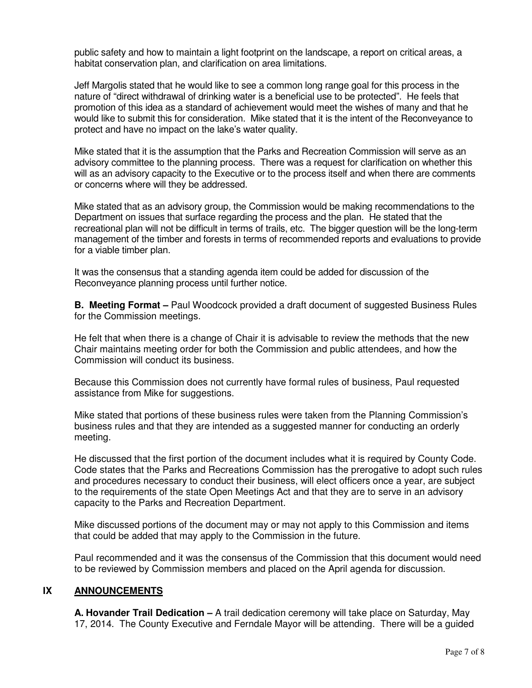public safety and how to maintain a light footprint on the landscape, a report on critical areas, a habitat conservation plan, and clarification on area limitations.

Jeff Margolis stated that he would like to see a common long range goal for this process in the nature of "direct withdrawal of drinking water is a beneficial use to be protected". He feels that promotion of this idea as a standard of achievement would meet the wishes of many and that he would like to submit this for consideration. Mike stated that it is the intent of the Reconveyance to protect and have no impact on the lake's water quality.

Mike stated that it is the assumption that the Parks and Recreation Commission will serve as an advisory committee to the planning process. There was a request for clarification on whether this will as an advisory capacity to the Executive or to the process itself and when there are comments or concerns where will they be addressed.

Mike stated that as an advisory group, the Commission would be making recommendations to the Department on issues that surface regarding the process and the plan. He stated that the recreational plan will not be difficult in terms of trails, etc. The bigger question will be the long-term management of the timber and forests in terms of recommended reports and evaluations to provide for a viable timber plan.

It was the consensus that a standing agenda item could be added for discussion of the Reconveyance planning process until further notice.

**B. Meeting Format –** Paul Woodcock provided a draft document of suggested Business Rules for the Commission meetings.

He felt that when there is a change of Chair it is advisable to review the methods that the new Chair maintains meeting order for both the Commission and public attendees, and how the Commission will conduct its business.

Because this Commission does not currently have formal rules of business, Paul requested assistance from Mike for suggestions.

Mike stated that portions of these business rules were taken from the Planning Commission's business rules and that they are intended as a suggested manner for conducting an orderly meeting.

He discussed that the first portion of the document includes what it is required by County Code. Code states that the Parks and Recreations Commission has the prerogative to adopt such rules and procedures necessary to conduct their business, will elect officers once a year, are subject to the requirements of the state Open Meetings Act and that they are to serve in an advisory capacity to the Parks and Recreation Department.

Mike discussed portions of the document may or may not apply to this Commission and items that could be added that may apply to the Commission in the future.

Paul recommended and it was the consensus of the Commission that this document would need to be reviewed by Commission members and placed on the April agenda for discussion.

## **IX ANNOUNCEMENTS**

**A. Hovander Trail Dedication –** A trail dedication ceremony will take place on Saturday, May 17, 2014. The County Executive and Ferndale Mayor will be attending. There will be a guided